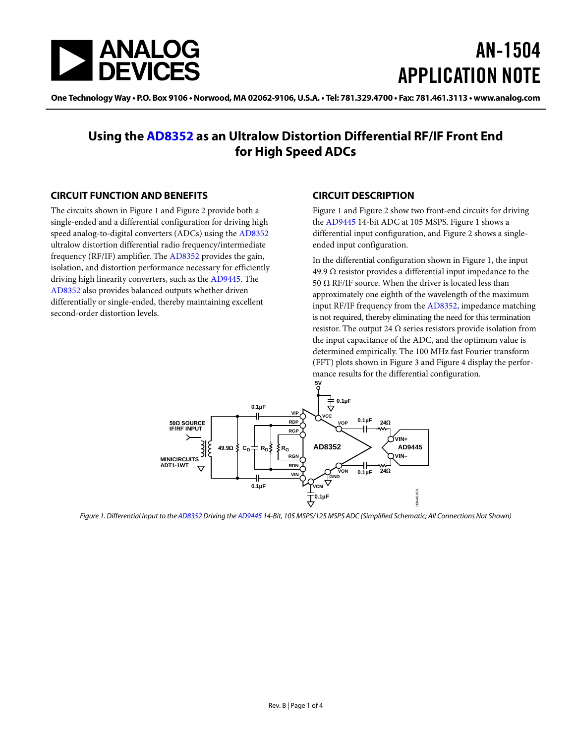

# AN-1504 APPLICATION NOTE

One Technology Way • P.O. Box 9106 • Norwood, MA 02062-9106, U.S.A. • Tel: 781.329.4700 • Fax: 781.461.3113 • www.analog.com

### **Using the [AD8352](http://www.analog.com/ad8352?doc=an-1504.pdf) as an Ultralow Distortion Differential RF/IF Front End for High Speed ADCs**

#### <span id="page-0-1"></span>**CIRCUIT FUNCTION AND BENEFITS**

The circuits shown in [Figure 1](#page-0-0) an[d Figure 2](#page-2-0) provide both a single-ended and a differential configuration for driving high speed analog-to-digital converters (ADCs) using th[e AD8352](http://www.analog.com/ad8352?doc=an-1504.pdf) ultralow distortion differential radio frequency/intermediate frequency (RF/IF) amplifier. Th[e AD8352](http://www.analog.com/ad8352?doc=an-1504.pdf) provides the gain, isolation, and distortion performance necessary for efficiently driving high linearity converters, such as th[e AD9445.](http://www.analog.com/ad9445?doc=an-1504.pdf) The [AD8352 a](http://www.analog.com/ad8352?doc=an-1504.pdf)lso provides balanced outputs whether driven differentially or single-ended, thereby maintaining excellent second-order distortion levels.

#### <span id="page-0-2"></span>**CIRCUIT DESCRIPTION**

[Figure 1](#page-0-0) an[d Figure 2](#page-2-0) show two front-end circuits for driving the [AD9445](http://www.analog.com/ad9445?doc=an-1504.pdf) 14-bit ADC at 105 MSPS. [Figure 1](#page-0-0) shows a differential input configuration, and [Figure 2](#page-2-0) shows a singleended input configuration.

In the differential configuration shown i[n Figure 1,](#page-0-0) the input 49.9 Ω resistor provides a differential input impedance to the 50  $Ω$  RF/IF source. When the driver is located less than approximately one eighth of the wavelength of the maximum input RF/IF frequency from the [AD8352,](http://www.analog.com/ad8352?doc=an-1504.pdf) impedance matching is not required, thereby eliminating the need for this termination resistor. The output 24  $\Omega$  series resistors provide isolation from the input capacitance of the ADC, and the optimum value is determined empirically. The 100 MHz fast Fourier transform (FFT) plots shown in [Figure 3](#page-2-1) and [Figure 4](#page-2-2) display the performance results for the differential configuration.



<span id="page-0-0"></span>*Figure 1. Differential Input to th[e AD8352](http://www.analog.com/ad8352?doc=an-1504.pdf) Driving th[e AD9445](http://www.analog.com/ad9445?doc=an-1504.pdf) 14-Bit, 105 MSPS/125 MSPS ADC (Simplified Schematic; All Connections Not Shown)*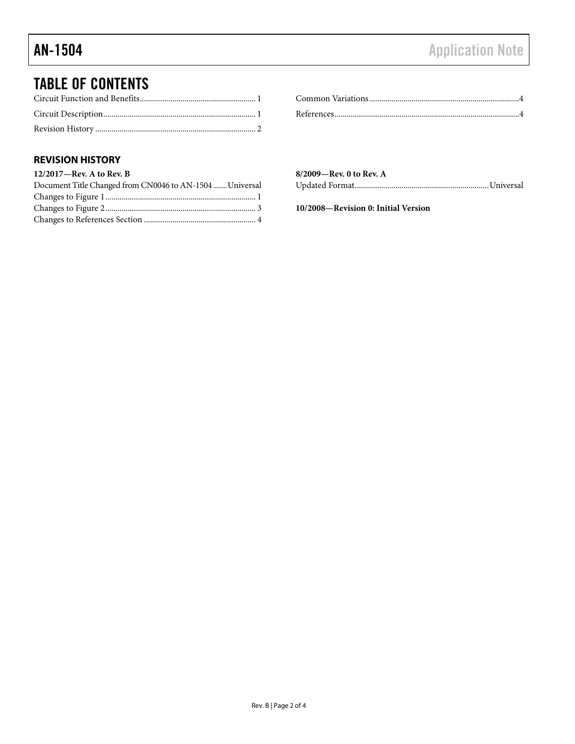### TABLE OF CONTENTS

#### <span id="page-1-0"></span>**REVISION HISTORY**

| $12/2017$ —Rev. A to Rev. B                              |  |
|----------------------------------------------------------|--|
| Document Title Changed from CN0046 to AN-1504  Universal |  |
|                                                          |  |
|                                                          |  |
|                                                          |  |

| 8/2009—Rev. 0 to Rev. A |  |
|-------------------------|--|
|                         |  |

**10/2008—Revision 0: Initial Version**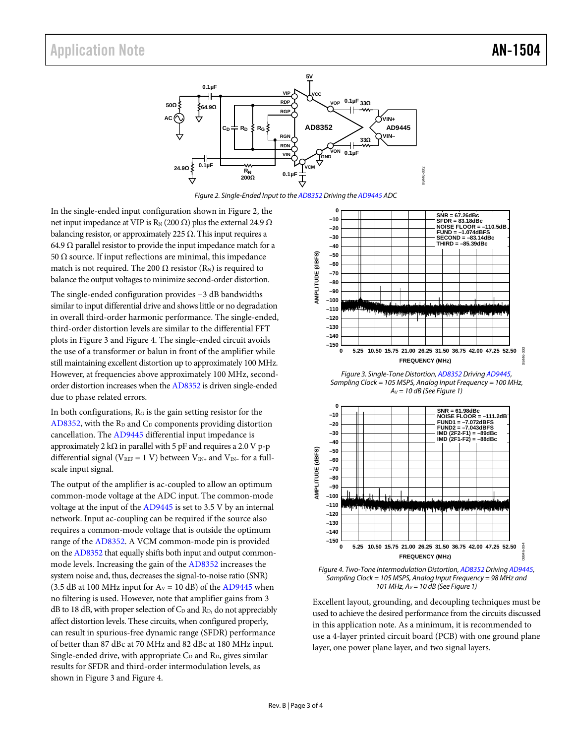## Application Note **AN-1504**



*Figure 2. Single-Ended Input to th[e AD8352](http://www.analog.com/ad8352?doc=an-1504.pdf) Driving th[e AD9445](http://www.analog.com/ad9445?doc=an-1504.pdf) ADC* 

<span id="page-2-0"></span>In the single-ended input configuration shown in [Figure 2,](#page-2-0) the net input impedance at VIP is R<sub>N</sub> (200 Ω) plus the external 24.9 Ω balancing resistor, or approximately 225  $\Omega$ . This input requires a 64.9  $\Omega$  parallel resistor to provide the input impedance match for a 50 Ω source. If input reflections are minimal, this impedance match is not required. The 200  $\Omega$  resistor (R<sub>N</sub>) is required to balance the output voltages to minimize second-order distortion.

The single-ended configuration provides −3 dB bandwidths similar to input differential drive and shows little or no degradation in overall third-order harmonic performance. The single-ended, third-order distortion levels are similar to the differential FFT plots i[n Figure 3](#page-2-1) and [Figure 4.](#page-2-2) The single-ended circuit avoids the use of a transformer or balun in front of the amplifier while still maintaining excellent distortion up to approximately 100 MHz. However, at frequencies above approximately 100 MHz, secondorder distortion increases when th[e AD8352](http://www.analog.com/ad8352?doc=an-1504.pdf) is driven single-ended due to phase related errors.

In both configurations,  $R<sub>G</sub>$  is the gain setting resistor for the [AD8352,](http://www.analog.com/ad8352?doc=an-1504.pdf) with the  $R_D$  and  $C_D$  components providing distortion cancellation. The [AD9445](http://www.analog.com/ad9445?doc=an-1504.pdf) differential input impedance is approximately 2 kΩ in parallel with 5 pF and requires a 2.0 V p-p differential signal (V<sub>REF</sub> = 1 V) between V<sub>IN+</sub> and V<sub>IN</sub>- for a fullscale input signal.

The output of the amplifier is ac-coupled to allow an optimum common-mode voltage at the ADC input. The common-mode voltage at the input of th[e AD9445](http://www.analog.com/ad9445?doc=an-1504.pdf) is set to 3.5 V by an internal network. Input ac-coupling can be required if the source also requires a common-mode voltage that is outside the optimum range of the [AD8352.](http://www.analog.com/ad8352?doc=an-1504.pdf) A VCM common-mode pin is provided on the [AD8352](http://www.analog.com/ad8352?doc=an-1504.pdf) that equally shifts both input and output commonmode levels. Increasing the gain of the [AD8352](http://www.analog.com/ad8352?doc=an-1504.pdf) increases the system noise and, thus, decreases the signal-to-noise ratio (SNR) (3.5 dB at 100 MHz input for  $A_V = 10$  dB) of the [AD9445](http://www.analog.com/ad9445?doc=an-1504.pdf) when no filtering is used. However, note that amplifier gains from 3  $dB$  to 18 dB, with proper selection of  $C<sub>D</sub>$  and  $R<sub>D</sub>$ , do not appreciably affect distortion levels. These circuits, when configured properly, can result in spurious-free dynamic range (SFDR) performance of better than 87 dBc at 70 MHz and 82 dBc at 180 MHz input. Single-ended drive, with appropriate  $C_D$  and  $R_D$ , gives similar results for SFDR and third-order intermodulation levels, as shown in [Figure 3](#page-2-1) an[d Figure 4.](#page-2-2) 



08446-002

002 8446-

<span id="page-2-1"></span>*Figure 3. Single-Tone Distortion[, AD8352](http://www.analog.com/ad8352?doc=an-1504.pdf) Drivin[g AD9445,](http://www.analog.com/ad9445?doc=an-1504.pdf)  Sampling Clock = 105 MSPS, Analog Input Frequency = 100 MHz, AV = 10 dB (Se[e Figure 1\)](#page-0-0)* 



<span id="page-2-2"></span>*Figure 4. Two-Tone Intermodulation Distortion[, AD8352](http://www.analog.com/ad8352?doc=an-1504.pdf) Drivin[g AD9445,](http://www.analog.com/ad9445?doc=an-1504.pdf)  Sampling Clock = 105 MSPS, Analog Input Frequency = 98 MHz and 101 MHz, AV = 10 dB (Se[e Figure 1\)](#page-0-0)* 

Excellent layout, grounding, and decoupling techniques must be used to achieve the desired performance from the circuits discussed in this application note. As a minimum, it is recommended to use a 4-layer printed circuit board (PCB) with one ground plane layer, one power plane layer, and two signal layers.